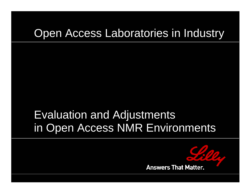# Open Access Laboratories in Industry

# Evaluation and Adjustments in Open Access NMR Environments

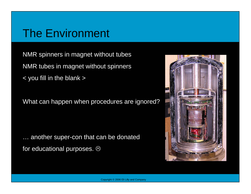### The Environment

NMR spinners in magnet without tubes NMR tubes in magnet without spinners < you fill in the blank >

What can happen when procedures are ignored?

… another super-con that can be donated for educational purposes.  $\odot$ 

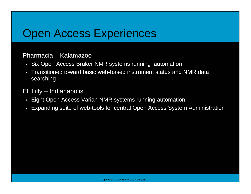### Open Access Experiences

#### Pharmacia – Kalamazoo

- Six Open Access Bruker NMR systems running automation
- Transitioned toward basic web-based instrument status and NMR data searching

#### Eli Lilly – Indianapolis

- Eight Open Access Varian NMR systems running automation
- •Expanding suite of web-tools for central Open Access System Administration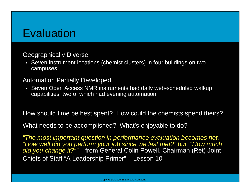## **Evaluation**

#### Geographically Diverse

• Seven instrument locations (chemist clusters) in four buildings on two campuses

#### Automation Partially Developed

• Seven Open Access NMR instruments had daily web-scheduled walkup capabilities, two of which had evening automation

How should time be best spent? How could the chemists spend theirs?

What needs to be accomplished? What's enjoyable to do?

*"The most important question in performance evaluation becomes not, "How well did you perform your job since we last met?" but, "How much did you change it?""* – from General Colin Powell, Chairman (Ret) Joint Chiefs of Staff "A Leadership Primer" – Lesson 10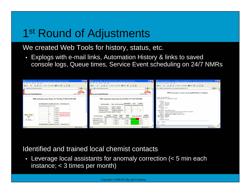## 1<sup>st</sup> Round of Adjustments

#### We created Web Tools for history, status, etc.

• Explogs with e-mail links, Automation History & links to saved console logs, Queue times, Service Event scheduling on 24/7 NMRs

| <sup>3</sup> NMR Automation History - Microsoft Internet Explorer provided by Eli Lilly and Company                                                                                                     |                                                                                                                      | <sup>2</sup> NMR Automation Status - Microsoft Internet Explorer provided by Eli Lilly and Company                                                                                                                                                    |                                      | Thttp://telluride/cgi-bin/cat_cons_log?bigburnitautolog06032201.txt - Microsoft Internet Explorer provided by - 0 X                                                                                                                 |
|---------------------------------------------------------------------------------------------------------------------------------------------------------------------------------------------------------|----------------------------------------------------------------------------------------------------------------------|-------------------------------------------------------------------------------------------------------------------------------------------------------------------------------------------------------------------------------------------------------|--------------------------------------|-------------------------------------------------------------------------------------------------------------------------------------------------------------------------------------------------------------------------------------|
| Elle Edit View Fgyankes Tools Help                                                                                                                                                                      |                                                                                                                      | Elle Edit Verr Fgronkes Tools Help                                                                                                                                                                                                                    |                                      | Ele Edt Yew Fgyorkes Tools Help                                                                                                                                                                                                     |
| <b>O</b> Book • ○ · R 2 6 2 South Streetors @ Posts ② B □ L                                                                                                                                             |                                                                                                                      | <b>O</b> Book • ○ · R 2 → O Search of Favorites @ Photo ② B □ L                                                                                                                                                                                       |                                      | <b>O</b> Book • ○ · R 2 4 2 search of Favorites @ Media ④ 2 日段                                                                                                                                                                      |
| B http://belluride/cgi-bin/autohistory                                                                                                                                                                  | D.<br>Links 1                                                                                                        | F & http://telluride/ogi-bin/autostatus                                                                                                                                                                                                               |                                      | $\vee$ $\bigcirc$ Go Links<br>dress 3 http://telkride/cgi-bin/cat_cons_log/bigbumbautolog06032201.txt                                                                                                                               |
| <b>Answers That Matter</b><br>Discovery Chemistry Research                                                                                                                                              | Lilly<br>Discovery Chemistry Research                                                                                |                                                                                                                                                                                                                                                       | Lilly<br><b>Answers That Matter.</b> | NMR Automation Console Log autolog06032201.txt On bigburn                                                                                                                                                                           |
| NMR Automation Queue History for Wed Mar 22 08:01:30 EST 2006                                                                                                                                           |                                                                                                                      | NMR Automation Queue Status for Wed Mar 22 07:59:55 EST 2006                                                                                                                                                                                          |                                      | Start of Automation<br>Spectrometer in automation mode<br>SAMPLEN: 1                                                                                                                                                                |
| INSTRUMENT SAMPLE STATUS CONSOLE LOG<br>tahoe(87/1/105A) Mar 22 07:56<br>Complete<br>Complete<br>Complete<br>autolog06032200.txt                                                                        | <b>INSTRUMENT</b><br>tahoe(87/1/105A)<br>solitude(87/2/205B)<br>heavenly(110A/B)                                     | <b>OUEUE</b><br><b>PRIORITY DAY</b><br>NEW AUTOMATION<br>OTime(min) OTime(min) DETAILS<br><b>EMPTY QUEUE</b><br><b>EMPTY QUEUE</b><br>5.6<br>×<br>SAMPLES QUEUE'd 5.6<br>powderhom(87/3/305A) EMPTY QUEUE                                             |                                      | USER: navruser<br><b>MACRO: CustomO</b><br>EXPLIST: MCHAR4<br>LONGLIST:<br>SOLVENT: CDC13<br>TEXT:<br>SampleDir: T69-A08953-168-1<br>Archive: /export/home/mmcuser/vnmcsys/data/T69/A08953<br>USERDIR: /export/home/nmcuser/vnmcsys |
| 100<br>Complete autolog06032100.txt<br><b>Please Wait!</b><br>autolog06032000.txt<br>Complete<br>Script<br>Complete<br>Executing<br>Complete<br>100<br>Complete<br>INSTRUMENT SAMPLE STATUS CONSOLE LOG | <b>INSTRUMENT</b><br>YES<br>bigbear(48/2/2232)<br>bigburn(48/1/1234) NO<br>kirkwood/48/4/4232) NO<br>NO<br>powderhom | FREE<br><b>USED</b><br><b>NIGHT</b><br><b>TOTAL</b><br>PERCENT FREE<br>AUTOMATION QTune<br>OTime<br>OTime<br>11.0hrs 3hrs 53.8min 7hrs 6.2min<br>64 %<br>11.0brs 0<br>11.0brs<br>100%<br>11.0brs 0<br>11.0hrs<br>100%<br>11.0hrs<br>100%<br>11.0hrs 0 | QUEUE<br><b>DETAILS</b>              | EMAIL: WINNEROSKI LEONARD LØLILLY.COM<br>ENAILuhat: message<br>ENAILwhen: sample<br>DATA:<br>STATUS: Oueued<br>GLIDE<br>Seg:<br><b>TURNSPORT</b><br>FAMIL.                                                                          |
| Local intranet<br><b>B</b> Done                                                                                                                                                                         | Done                                                                                                                 |                                                                                                                                                                                                                                                       | Local intranet                       | e) Done<br>Local intranet                                                                                                                                                                                                           |

Identified and trained local chemist contacts

• Leverage local assistants for anomaly correction (< 5 min each instance; < 3 times per month)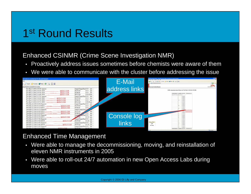### 1st Round Results

#### Enhanced CSINMR (Crime Scene Investigation NMR)

- $\bullet$ Proactively address issues sometimes before chemists were aware of them
- •We were able to communicate with the cluster before addressing the issue



#### Enhanced Time Management

- Were able to manage the decommissioning, moving, and reinstallation of eleven NMR instruments in 2005
- Were able to roll-out 24/7 automation in new Open Access Labs during moves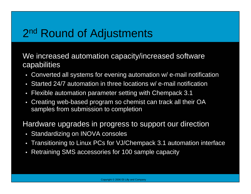## 2<sup>nd</sup> Round of Adjustments

We increased automation capacity/increased software capabilities

- Converted all systems for evening automation w/ e-mail notification
- Started 24/7 automation in three locations w/ e-mail notification
- Flexible automation parameter setting with Chempack 3.1
- Creating web-based program so chemist can track all their OA samples from submission to completion

Hardware upgrades in progress to support our direction

- Standardizing on INOVA consoles
- Transitioning to Linux PCs for VJ/Chempack 3.1 automation interface
- Retraining SMS accessories for 100 sample capacity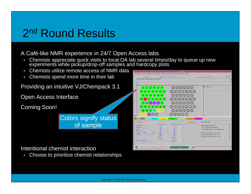### 2<sup>nd</sup> Round Results

A Café-like NMR experience in 24/7 Open Access labs

- •Chemists appreciate quick visits to local OA lab several times/day to queue up new experiments while pickup/drop-off samples and hardcopy plots
- •Chemists utilize remote access of NMR data
- $\bullet$ Chemists spend more time in their lab

Providing an intuitive VJ/Chempack 3.1

Open Access Interface

Coming Soon!



Intentional chemist interaction

 $\bullet$ Choose to prioritize chemist relationships

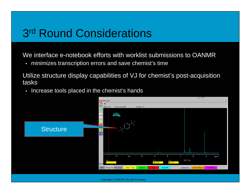### 3r<sup>d</sup> Round Considerations

We interface e-notebook efforts with worklist submissions to OANMR

• minimizes transcription errors and save chemist's time

Utilize structure display capabilities of VJ for chemist's post-acquisition tasks

• Increase tools placed in the chemist's hands

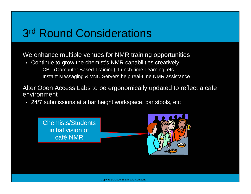### 3r<sup>d</sup> Round Considerations

#### We enhance multiple venues for NMR training opportunities

- Continue to grow the chemist's NMR capabilities creatively
	- CBT (Computer Based Training), Lunch-time Learning, etc.
	- Instant Messaging & VNC Servers help real-time NMR assistance

Alter Open Access Labs to be ergonomically updated to reflect a cafe environment

• 24/7 submissions at a bar height workspace, bar stools, etc